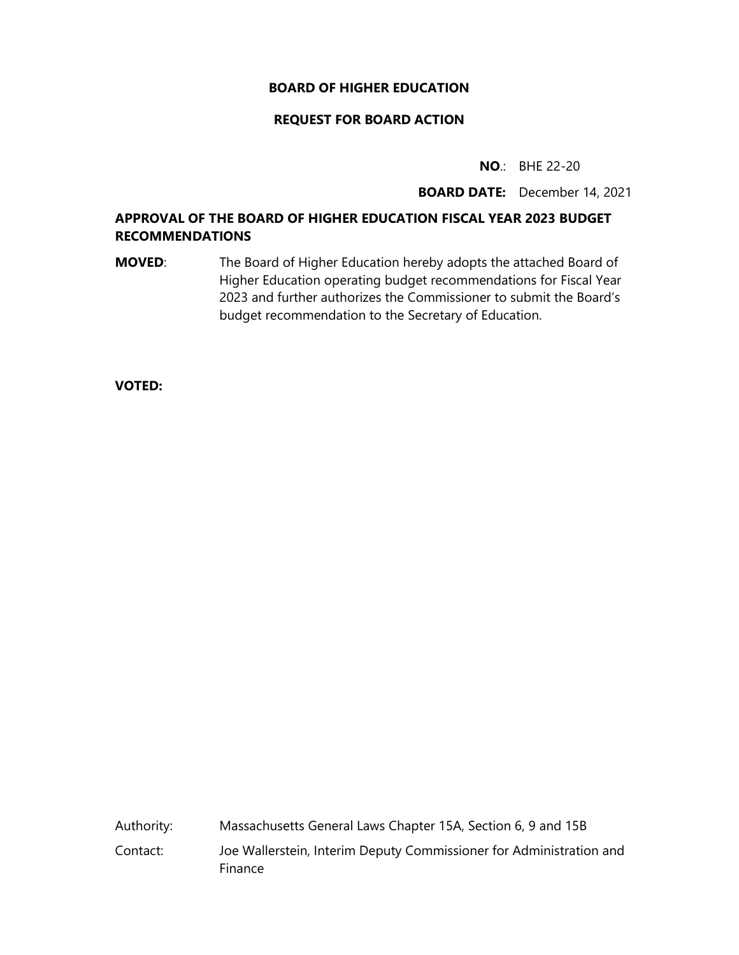#### **BOARD OF HIGHER EDUCATION**

#### **REQUEST FOR BOARD ACTION**

**NO**.: BHE 22-20

**BOARD DATE:** December 14, 2021

#### **APPROVAL OF THE BOARD OF HIGHER EDUCATION FISCAL YEAR 2023 BUDGET RECOMMENDATIONS**

**MOVED:** The Board of Higher Education hereby adopts the attached Board of Higher Education operating budget recommendations for Fiscal Year 2023 and further authorizes the Commissioner to submit the Board's budget recommendation to the Secretary of Education.

**VOTED:**

Authority: Massachusetts General Laws Chapter 15A, Section 6, 9 and 15B Contact: Joe Wallerstein, Interim Deputy Commissioner for Administration and Finance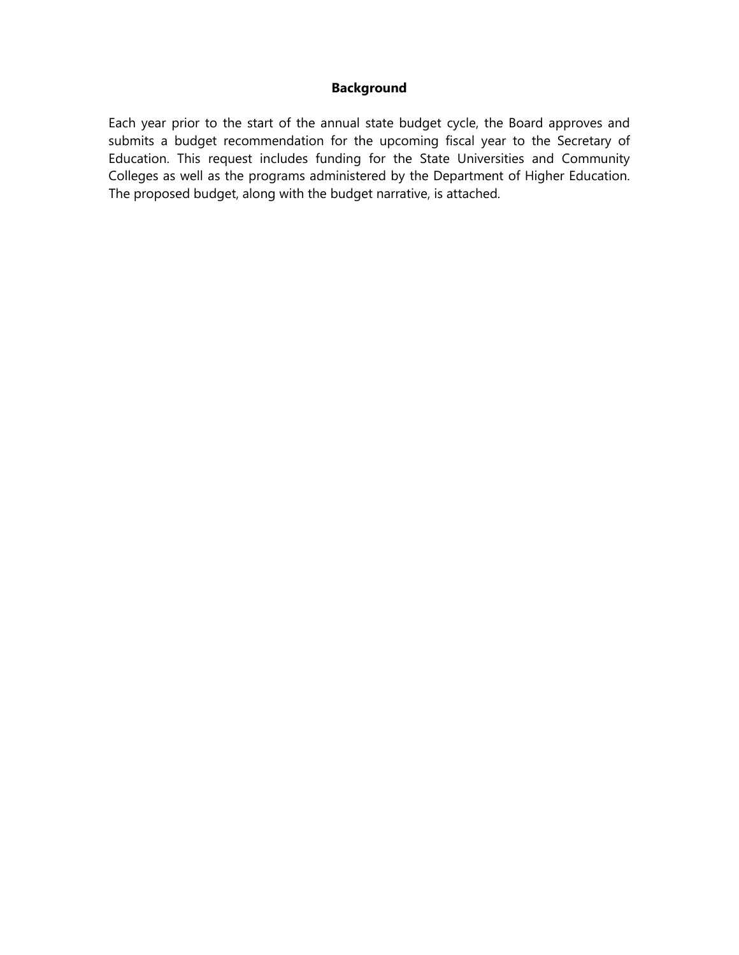#### **Background**

Each year prior to the start of the annual state budget cycle, the Board approves and submits a budget recommendation for the upcoming fiscal year to the Secretary of Education. This request includes funding for the State Universities and Community Colleges as well as the programs administered by the Department of Higher Education. The proposed budget, along with the budget narrative, is attached.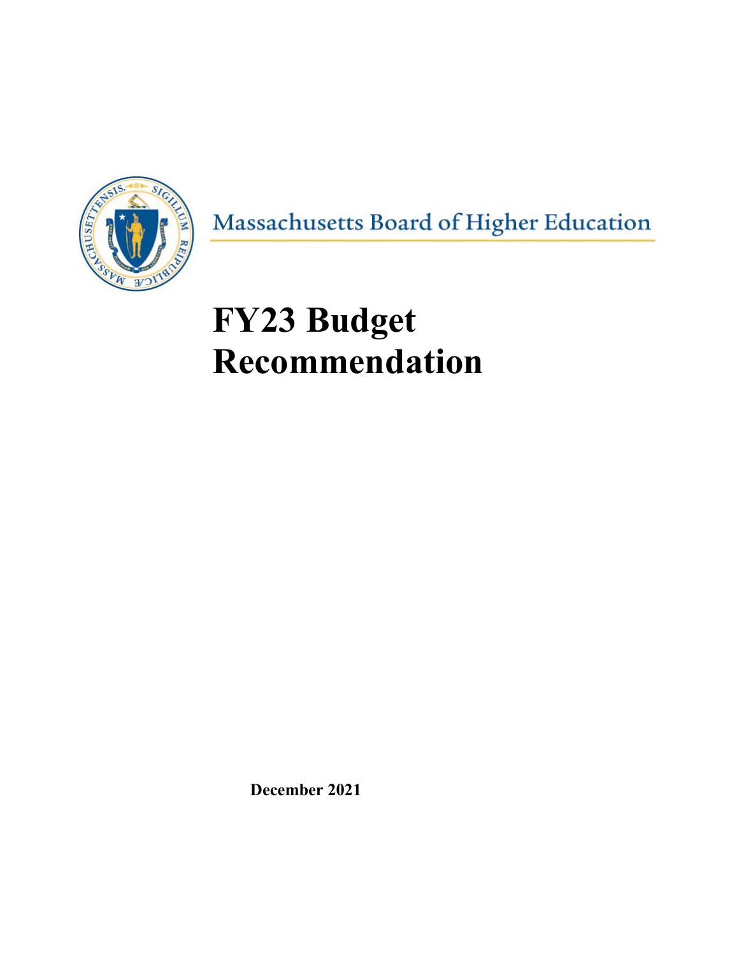

Massachusetts Board of Higher Education

# **FY23 Budget Recommendation**

**December 2021**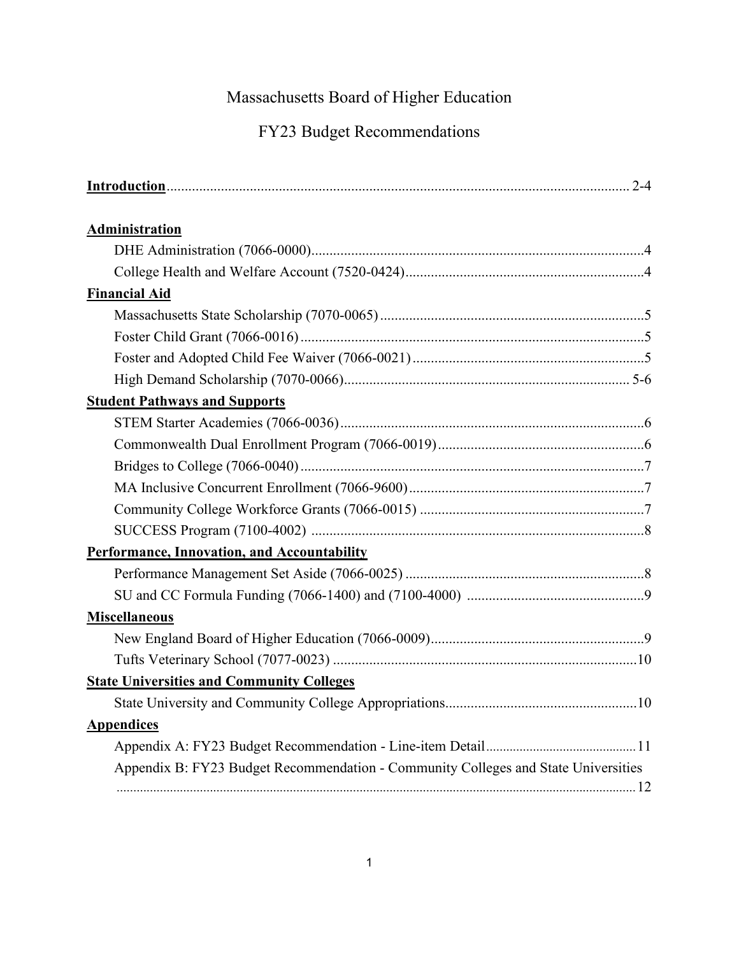### Massachusetts Board of Higher Education

### FY23 Budget Recommendations

| <b>Administration</b>                                                              |
|------------------------------------------------------------------------------------|
|                                                                                    |
|                                                                                    |
| <b>Financial Aid</b>                                                               |
|                                                                                    |
|                                                                                    |
|                                                                                    |
|                                                                                    |
| <b>Student Pathways and Supports</b>                                               |
|                                                                                    |
|                                                                                    |
|                                                                                    |
|                                                                                    |
|                                                                                    |
|                                                                                    |
| Performance, Innovation, and Accountability                                        |
|                                                                                    |
|                                                                                    |
| <b>Miscellaneous</b>                                                               |
|                                                                                    |
|                                                                                    |
| <b>State Universities and Community Colleges</b>                                   |
|                                                                                    |
| <b>Appendices</b>                                                                  |
|                                                                                    |
| Appendix B: FY23 Budget Recommendation - Community Colleges and State Universities |
|                                                                                    |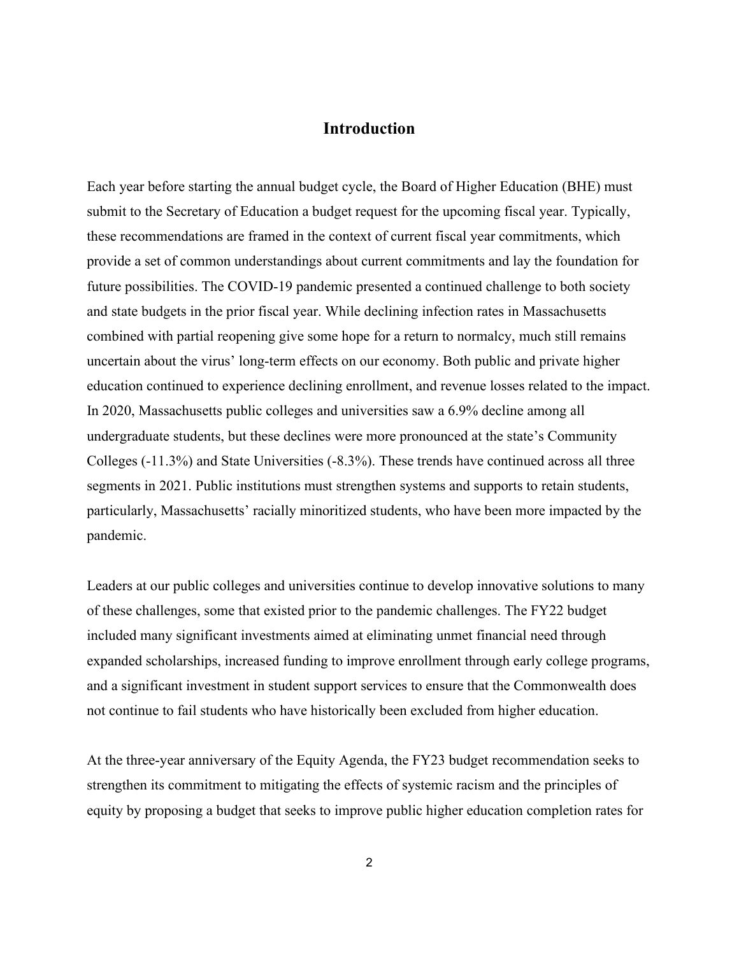#### **Introduction**

Each year before starting the annual budget cycle, the Board of Higher Education (BHE) must submit to the Secretary of Education a budget request for the upcoming fiscal year. Typically, these recommendations are framed in the context of current fiscal year commitments, which provide a set of common understandings about current commitments and lay the foundation for future possibilities. The COVID-19 pandemic presented a continued challenge to both society and state budgets in the prior fiscal year. While declining infection rates in Massachusetts combined with partial reopening give some hope for a return to normalcy, much still remains uncertain about the virus' long-term effects on our economy. Both public and private higher education continued to experience declining enrollment, and revenue losses related to the impact. In 2020, Massachusetts public colleges and universities saw a 6.9% decline among all undergraduate students, but these declines were more pronounced at the state's Community Colleges (-11.3%) and State Universities (-8.3%). These trends have continued across all three segments in 2021. Public institutions must strengthen systems and supports to retain students, particularly, Massachusetts' racially minoritized students, who have been more impacted by the pandemic.

Leaders at our public colleges and universities continue to develop innovative solutions to many of these challenges, some that existed prior to the pandemic challenges. The FY22 budget included many significant investments aimed at eliminating unmet financial need through expanded scholarships, increased funding to improve enrollment through early college programs, and a significant investment in student support services to ensure that the Commonwealth does not continue to fail students who have historically been excluded from higher education.

At the three-year anniversary of the Equity Agenda, the FY23 budget recommendation seeks to strengthen its commitment to mitigating the effects of systemic racism and the principles of equity by proposing a budget that seeks to improve public higher education completion rates for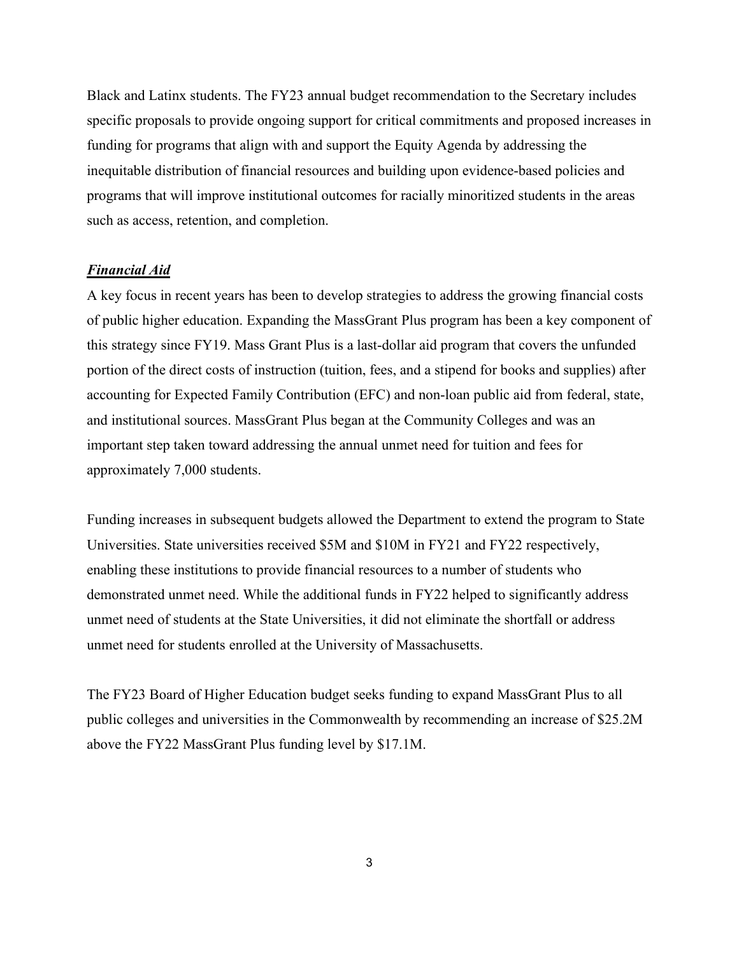Black and Latinx students. The FY23 annual budget recommendation to the Secretary includes specific proposals to provide ongoing support for critical commitments and proposed increases in funding for programs that align with and support the Equity Agenda by addressing the inequitable distribution of financial resources and building upon evidence-based policies and programs that will improve institutional outcomes for racially minoritized students in the areas such as access, retention, and completion.

#### *Financial Aid*

A key focus in recent years has been to develop strategies to address the growing financial costs of public higher education. Expanding the MassGrant Plus program has been a key component of this strategy since FY19. Mass Grant Plus is a last-dollar aid program that covers the unfunded portion of the direct costs of instruction (tuition, fees, and a stipend for books and supplies) after accounting for Expected Family Contribution (EFC) and non-loan public aid from federal, state, and institutional sources. MassGrant Plus began at the Community Colleges and was an important step taken toward addressing the annual unmet need for tuition and fees for approximately 7,000 students.

Funding increases in subsequent budgets allowed the Department to extend the program to State Universities. State universities received \$5M and \$10M in FY21 and FY22 respectively, enabling these institutions to provide financial resources to a number of students who demonstrated unmet need. While the additional funds in FY22 helped to significantly address unmet need of students at the State Universities, it did not eliminate the shortfall or address unmet need for students enrolled at the University of Massachusetts.

The FY23 Board of Higher Education budget seeks funding to expand MassGrant Plus to all public colleges and universities in the Commonwealth by recommending an increase of \$25.2M above the FY22 MassGrant Plus funding level by \$17.1M.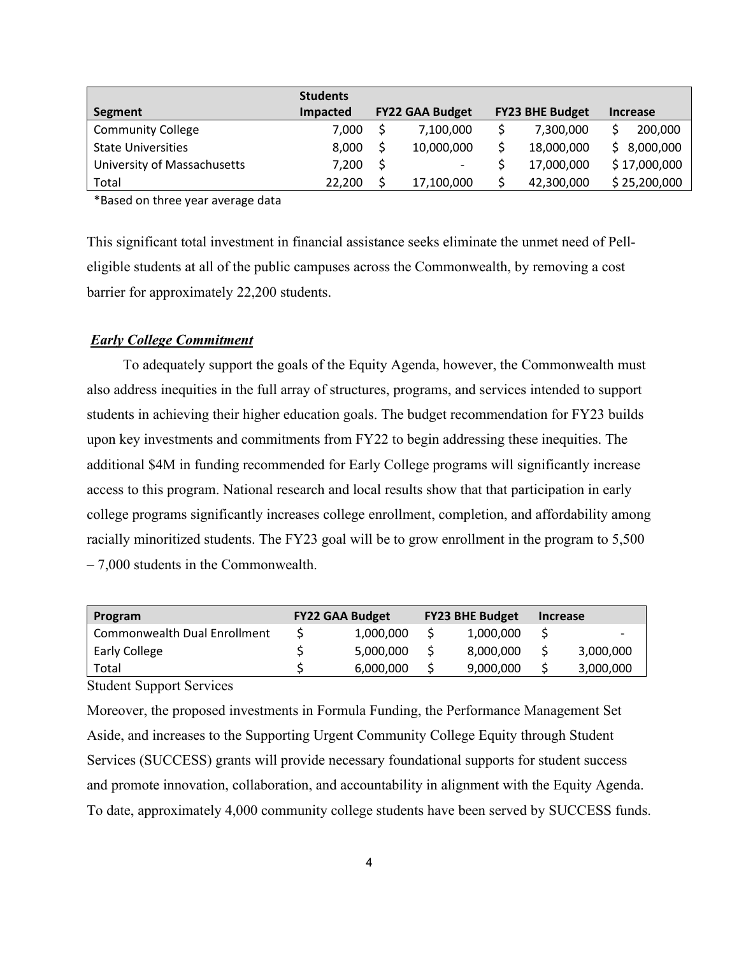|                             | <b>Students</b> |                          |                        |                 |
|-----------------------------|-----------------|--------------------------|------------------------|-----------------|
| Segment                     | Impacted        | <b>FY22 GAA Budget</b>   | <b>FY23 BHE Budget</b> | <b>Increase</b> |
| <b>Community College</b>    | 7.000           | 7,100,000                | 7,300,000              | 200,000         |
| <b>State Universities</b>   | 8.000           | 10,000,000               | 18,000,000             | \$8,000,000     |
| University of Massachusetts | 7,200           | $\overline{\phantom{a}}$ | 17,000,000             | \$17,000,000    |
| Total                       | 22,200          | 17,100,000               | 42,300,000             | \$25,200,000    |

\*Based on three year average data

This significant total investment in financial assistance seeks eliminate the unmet need of Pelleligible students at all of the public campuses across the Commonwealth, by removing a cost barrier for approximately 22,200 students.

#### *Early College Commitment*

 To adequately support the goals of the Equity Agenda, however, the Commonwealth must also address inequities in the full array of structures, programs, and services intended to support students in achieving their higher education goals. The budget recommendation for FY23 builds upon key investments and commitments from FY22 to begin addressing these inequities. The additional \$4M in funding recommended for Early College programs will significantly increase access to this program. National research and local results show that that participation in early college programs significantly increases college enrollment, completion, and affordability among racially minoritized students. The FY23 goal will be to grow enrollment in the program to 5,500 – 7,000 students in the Commonwealth.

| Program                      | <b>FY22 GAA Budget</b> |           | <b>FY23 BHE Budget</b> |           | <b>Increase</b> |           |
|------------------------------|------------------------|-----------|------------------------|-----------|-----------------|-----------|
| Commonwealth Dual Enrollment |                        | 1,000,000 |                        | 1,000,000 |                 | -         |
| <b>Early College</b>         |                        | 5,000,000 |                        | 8,000,000 |                 | 3,000,000 |
| Total                        |                        | 6,000,000 |                        | 9,000,000 |                 | 3,000,000 |

Student Support Services

Moreover, the proposed investments in Formula Funding, the Performance Management Set Aside, and increases to the Supporting Urgent Community College Equity through Student Services (SUCCESS) grants will provide necessary foundational supports for student success and promote innovation, collaboration, and accountability in alignment with the Equity Agenda. To date, approximately 4,000 community college students have been served by SUCCESS funds.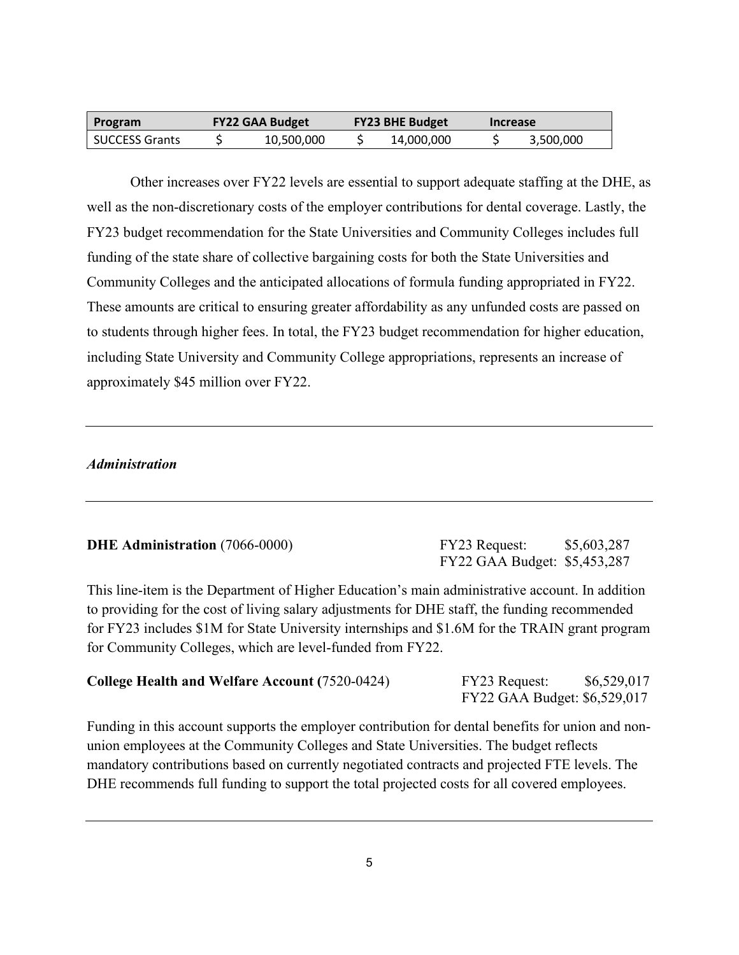| Program               | <b>FY22 GAA Budget</b> |            | <b>FY23 BHE Budget</b> |            | <b>Increase</b> |           |
|-----------------------|------------------------|------------|------------------------|------------|-----------------|-----------|
| <b>SUCCESS Grants</b> |                        | 10,500,000 |                        | 14,000,000 |                 | 3,500,000 |

Other increases over FY22 levels are essential to support adequate staffing at the DHE, as well as the non-discretionary costs of the employer contributions for dental coverage. Lastly, the FY23 budget recommendation for the State Universities and Community Colleges includes full funding of the state share of collective bargaining costs for both the State Universities and Community Colleges and the anticipated allocations of formula funding appropriated in FY22. These amounts are critical to ensuring greater affordability as any unfunded costs are passed on to students through higher fees. In total, the FY23 budget recommendation for higher education, including State University and Community College appropriations, represents an increase of approximately \$45 million over FY22.

#### *Administration*

#### **DHE Administration** (7066-0000)

| FY23 Request:                | \$5,603,287 |
|------------------------------|-------------|
| FY22 GAA Budget: \$5,453,287 |             |

This line-item is the Department of Higher Education's main administrative account. In addition to providing for the cost of living salary adjustments for DHE staff, the funding recommended for FY23 includes \$1M for State University internships and \$1.6M for the TRAIN grant program for Community Colleges, which are level-funded from FY22.

#### **College Health and Welfare Account (**7520-0424) FY23 Request:\$6,529,017

FY22 GAA Budget: \$6,529,017

Funding in this account supports the employer contribution for dental benefits for union and nonunion employees at the Community Colleges and State Universities. The budget reflects mandatory contributions based on currently negotiated contracts and projected FTE levels. The DHE recommends full funding to support the total projected costs for all covered employees.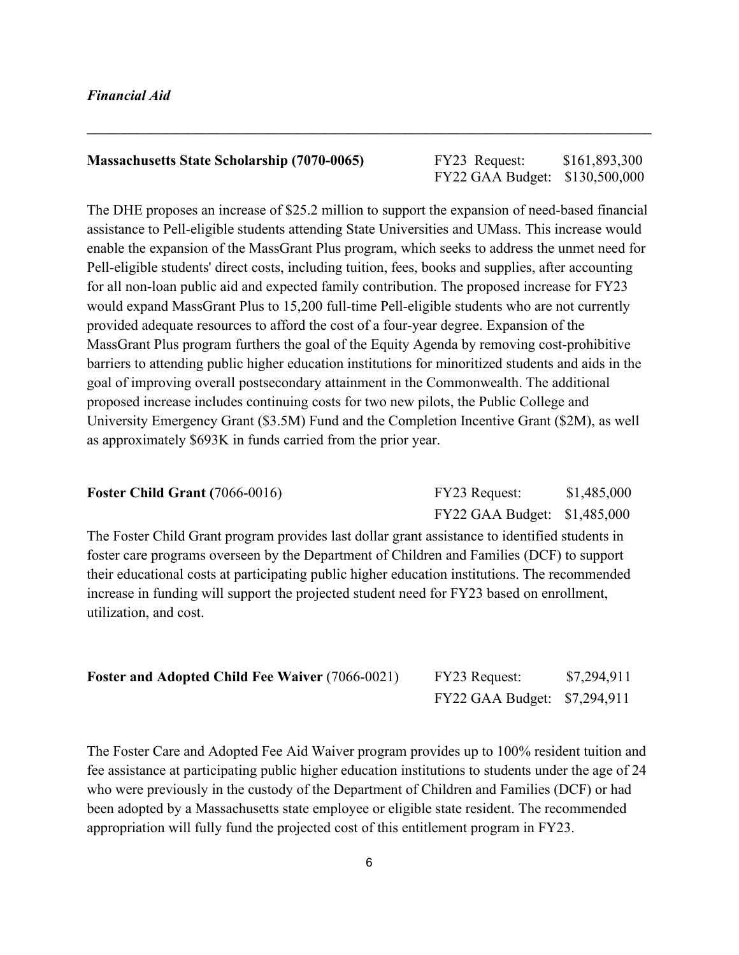#### *Financial Aid*

#### **Massachusetts State Scholarship (7070-0065)** FY23 Request: \$161,893,300

## FY22 GAA Budget: \$130,500,000

The DHE proposes an increase of \$25.2 million to support the expansion of need-based financial assistance to Pell-eligible students attending State Universities and UMass. This increase would enable the expansion of the MassGrant Plus program, which seeks to address the unmet need for Pell-eligible students' direct costs, including tuition, fees, books and supplies, after accounting for all non-loan public aid and expected family contribution. The proposed increase for FY23 would expand MassGrant Plus to 15,200 full-time Pell-eligible students who are not currently provided adequate resources to afford the cost of a four-year degree. Expansion of the MassGrant Plus program furthers the goal of the Equity Agenda by removing cost-prohibitive barriers to attending public higher education institutions for minoritized students and aids in the goal of improving overall postsecondary attainment in the Commonwealth. The additional proposed increase includes continuing costs for two new pilots, the Public College and University Emergency Grant (\$3.5M) Fund and the Completion Incentive Grant (\$2M), as well as approximately \$693K in funds carried from the prior year.

**\_\_\_\_\_\_\_\_\_\_\_\_\_\_\_\_\_\_\_\_\_\_\_\_\_\_\_\_\_\_\_\_\_\_\_\_\_\_\_\_\_\_\_\_\_\_\_\_\_\_\_\_\_\_\_\_\_\_\_\_\_\_\_\_\_\_\_\_\_\_\_\_\_\_\_\_\_\_**

| Foster Child Grant $(7066-0016)$ | FY23 Request:                | \$1,485,000 |
|----------------------------------|------------------------------|-------------|
|                                  | FY22 GAA Budget: \$1,485,000 |             |

The Foster Child Grant program provides last dollar grant assistance to identified students in foster care programs overseen by the Department of Children and Families (DCF) to support their educational costs at participating public higher education institutions. The recommended increase in funding will support the projected student need for FY23 based on enrollment, utilization, and cost.

| <b>Foster and Adopted Child Fee Waiver (7066-0021)</b> | FY23 Request:                | \$7,294,911 |
|--------------------------------------------------------|------------------------------|-------------|
|                                                        | FY22 GAA Budget: \$7,294,911 |             |

The Foster Care and Adopted Fee Aid Waiver program provides up to 100% resident tuition and fee assistance at participating public higher education institutions to students under the age of 24 who were previously in the custody of the Department of Children and Families (DCF) or had been adopted by a Massachusetts state employee or eligible state resident. The recommended appropriation will fully fund the projected cost of this entitlement program in FY23.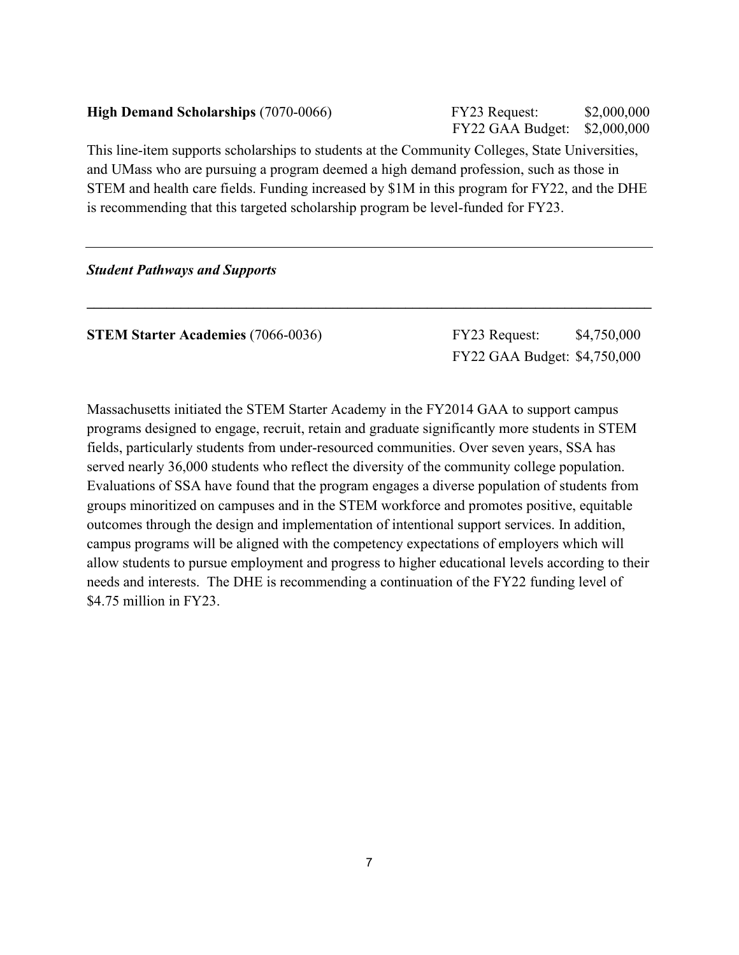| <b>High Demand Scholarships (7070-0066)</b>                                                     | FY23 Request:<br>FY22 GAA Budget: | \$2,000,000<br>\$2,000,000 |  |
|-------------------------------------------------------------------------------------------------|-----------------------------------|----------------------------|--|
| This line-item supports scholarships to students at the Community Colleges, State Universities, |                                   |                            |  |
| and UMass who are pursuing a program deemed a high demand profession, such as those in          |                                   |                            |  |
| STEM and health care fields. Funding increased by \$1M in this program for FY22, and the DHE    |                                   |                            |  |

**\_\_\_\_\_\_\_\_\_\_\_\_\_\_\_\_\_\_\_\_\_\_\_\_\_\_\_\_\_\_\_\_\_\_\_\_\_\_\_\_\_\_\_\_\_\_\_\_\_\_\_\_\_\_\_\_\_\_\_\_\_\_\_\_\_\_\_\_\_\_\_\_\_\_\_\_\_\_**

is recommending that this targeted scholarship program be level-funded for FY23.

#### *Student Pathways and Supports*

**STEM Starter Academies** (7066-0036) **FY23 Request:** \$4,750,000

FY22 GAA Budget: \$4,750,000

Massachusetts initiated the STEM Starter Academy in the FY2014 GAA to support campus programs designed to engage, recruit, retain and graduate significantly more students in STEM fields, particularly students from under-resourced communities. Over seven years, SSA has served nearly 36,000 students who reflect the diversity of the community college population. Evaluations of SSA have found that the program engages a diverse population of students from groups minoritized on campuses and in the STEM workforce and promotes positive, equitable outcomes through the design and implementation of intentional support services. In addition, campus programs will be aligned with the competency expectations of employers which will allow students to pursue employment and progress to higher educational levels according to their needs and interests. The DHE is recommending a continuation of the FY22 funding level of \$4.75 million in FY23.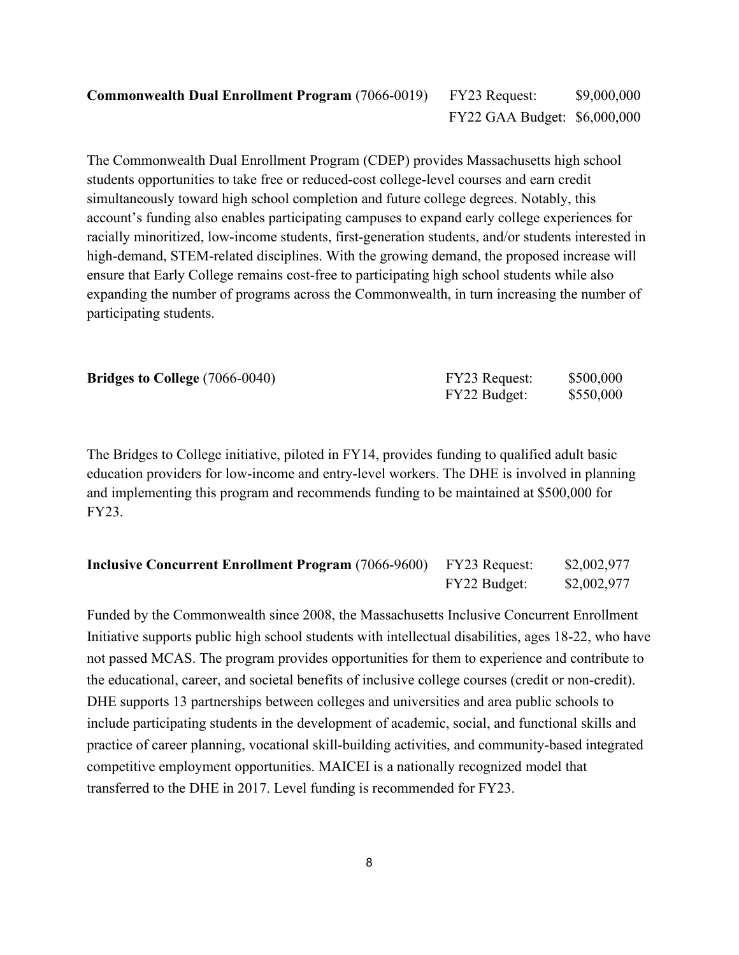The Commonwealth Dual Enrollment Program (CDEP) provides Massachusetts high school students opportunities to take free or reduced-cost college-level courses and earn credit simultaneously toward high school completion and future college degrees. Notably, this account's funding also enables participating campuses to expand early college experiences for racially minoritized, low-income students, first-generation students, and/or students interested in high-demand, STEM-related disciplines. With the growing demand, the proposed increase will ensure that Early College remains cost-free to participating high school students while also expanding the number of programs across the Commonwealth, in turn increasing the number of participating students.

| <b>Bridges to College</b> (7066-0040) | FY23 Request: | \$500,000 |
|---------------------------------------|---------------|-----------|
|                                       | FY22 Budget:  | \$550,000 |

The Bridges to College initiative, piloted in FY14, provides funding to qualified adult basic education providers for low-income and entry-level workers. The DHE is involved in planning and implementing this program and recommends funding to be maintained at \$500,000 for FY23.

| <b>Inclusive Concurrent Enrollment Program (7066-9600)</b> FY23 Request: |              | \$2,002,977 |
|--------------------------------------------------------------------------|--------------|-------------|
|                                                                          | FY22 Budget: | \$2,002,977 |

Funded by the Commonwealth since 2008, the Massachusetts Inclusive Concurrent Enrollment Initiative supports public high school students with intellectual disabilities, ages 18-22, who have not passed MCAS. The program provides opportunities for them to experience and contribute to the educational, career, and societal benefits of inclusive college courses (credit or non-credit). DHE supports 13 partnerships between colleges and universities and area public schools to include participating students in the development of academic, social, and functional skills and practice of career planning, vocational skill-building activities, and community-based integrated competitive employment opportunities. MAICEI is a nationally recognized model that transferred to the DHE in 2017. Level funding is recommended for FY23.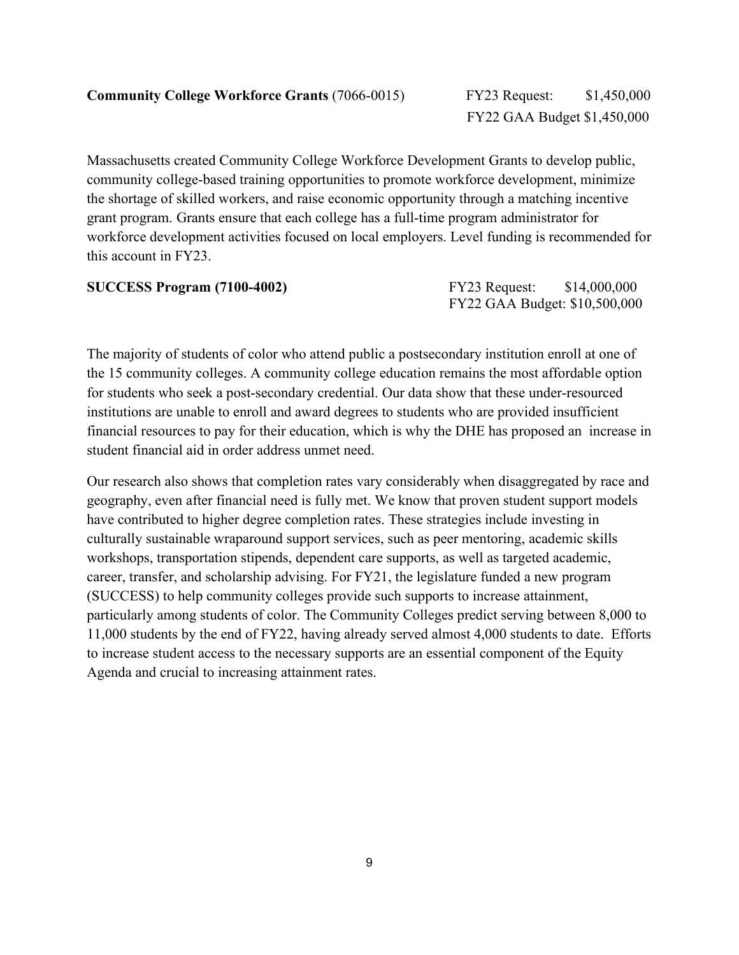Massachusetts created Community College Workforce Development Grants to develop public, community college-based training opportunities to promote workforce development, minimize the shortage of skilled workers, and raise economic opportunity through a matching incentive grant program. Grants ensure that each college has a full-time program administrator for workforce development activities focused on local employers. Level funding is recommended for this account in FY23.

| <b>SUCCESS Program (7100-4002)</b> | FY23 Request:                 | \$14,000,000 |
|------------------------------------|-------------------------------|--------------|
|                                    | FY22 GAA Budget: \$10,500,000 |              |

The majority of students of color who attend public a postsecondary institution enroll at one of the 15 community colleges. A community college education remains the most affordable option for students who seek a post-secondary credential. Our data show that these under-resourced institutions are unable to enroll and award degrees to students who are provided insufficient financial resources to pay for their education, which is why the DHE has proposed an increase in student financial aid in order address unmet need.

Our research also shows that completion rates vary considerably when disaggregated by race and geography, even after financial need is fully met. We know that proven student support models have contributed to higher degree completion rates. These strategies include investing in culturally sustainable wraparound support services, such as peer mentoring, academic skills workshops, transportation stipends, dependent care supports, as well as targeted academic, career, transfer, and scholarship advising. For FY21, the legislature funded a new program (SUCCESS) to help community colleges provide such supports to increase attainment, particularly among students of color. The Community Colleges predict serving between 8,000 to 11,000 students by the end of FY22, having already served almost 4,000 students to date. Efforts to increase student access to the necessary supports are an essential component of the Equity Agenda and crucial to increasing attainment rates.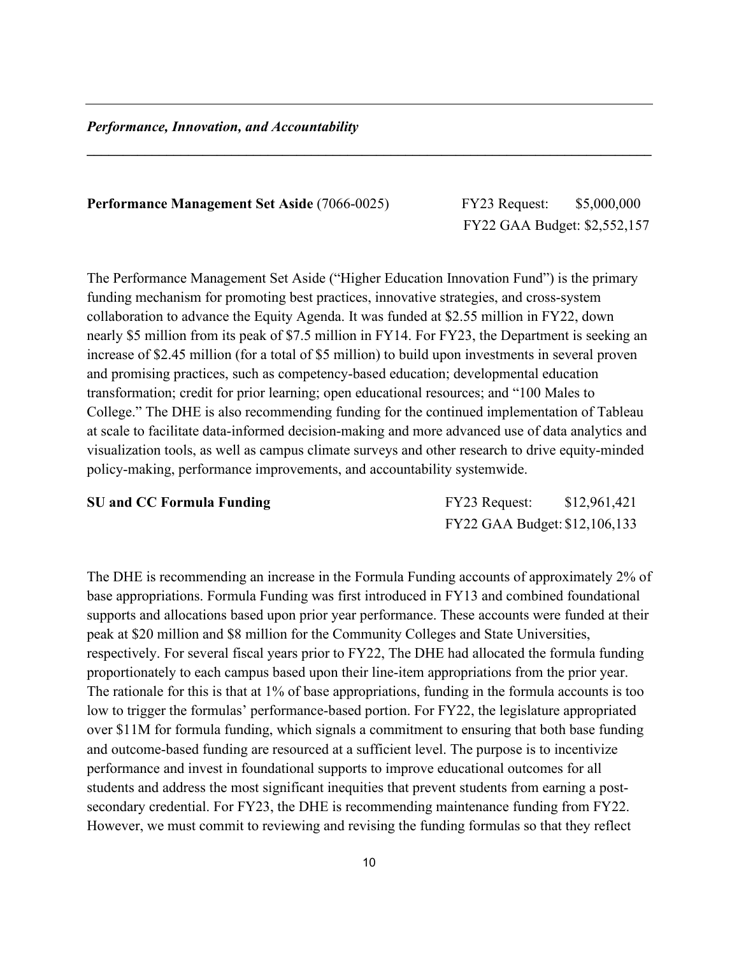#### *Performance, Innovation, and Accountability*

#### **Performance Management Set Aside** (7066-0025)FY23 Request: \$5,000,000

FY22 GAA Budget: \$2,552,157

The Performance Management Set Aside ("Higher Education Innovation Fund") is the primary funding mechanism for promoting best practices, innovative strategies, and cross-system collaboration to advance the Equity Agenda. It was funded at \$2.55 million in FY22, down nearly \$5 million from its peak of \$7.5 million in FY14. For FY23, the Department is seeking an increase of \$2.45 million (for a total of \$5 million) to build upon investments in several proven and promising practices, such as competency-based education; developmental education transformation; credit for prior learning; open educational resources; and "100 Males to College." The DHE is also recommending funding for the continued implementation of Tableau at scale to facilitate data-informed decision-making and more advanced use of data analytics and visualization tools, as well as campus climate surveys and other research to drive equity-minded policy-making, performance improvements, and accountability systemwide.

**\_\_\_\_\_\_\_\_\_\_\_\_\_\_\_\_\_\_\_\_\_\_\_\_\_\_\_\_\_\_\_\_\_\_\_\_\_\_\_\_\_\_\_\_\_\_\_\_\_\_\_\_\_\_\_\_\_\_\_\_\_\_\_\_\_\_\_\_\_\_\_\_\_\_\_\_\_\_**

**SU and CC Formula Funding The CO Formula Funding Results** FY23 Request: \$12,961,421 FY22 GAA Budget: \$12,106,133

The DHE is recommending an increase in the Formula Funding accounts of approximately 2% of base appropriations. Formula Funding was first introduced in FY13 and combined foundational supports and allocations based upon prior year performance. These accounts were funded at their peak at \$20 million and \$8 million for the Community Colleges and State Universities, respectively. For several fiscal years prior to FY22, The DHE had allocated the formula funding proportionately to each campus based upon their line-item appropriations from the prior year. The rationale for this is that at 1% of base appropriations, funding in the formula accounts is too low to trigger the formulas' performance-based portion. For FY22, the legislature appropriated over \$11M for formula funding, which signals a commitment to ensuring that both base funding and outcome-based funding are resourced at a sufficient level. The purpose is to incentivize performance and invest in foundational supports to improve educational outcomes for all students and address the most significant inequities that prevent students from earning a postsecondary credential. For FY23, the DHE is recommending maintenance funding from FY22. However, we must commit to reviewing and revising the funding formulas so that they reflect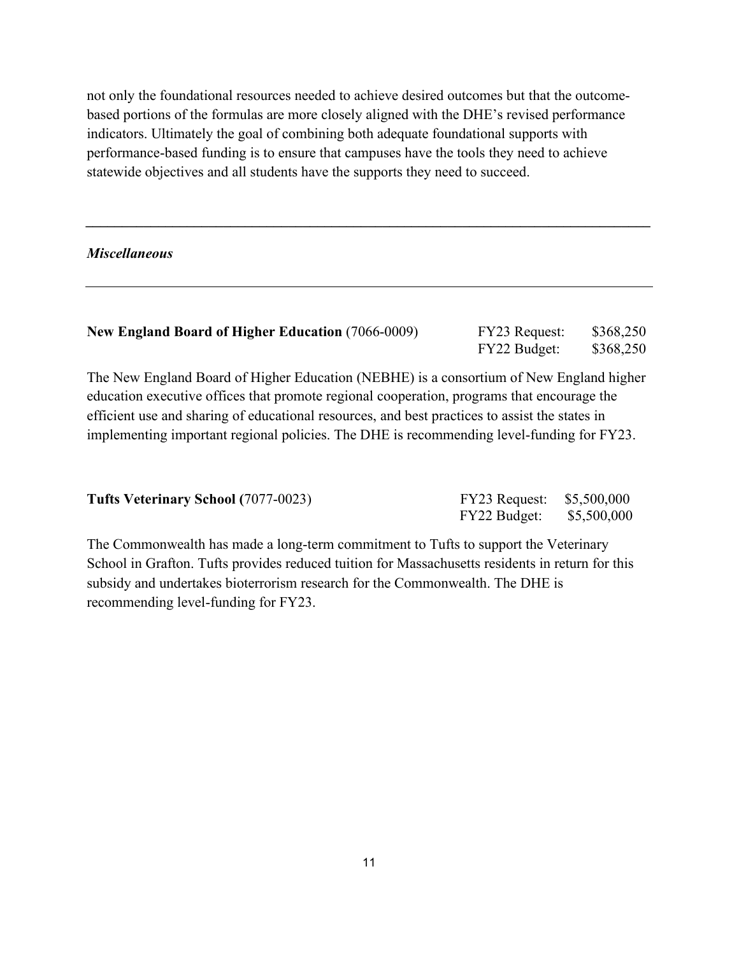not only the foundational resources needed to achieve desired outcomes but that the outcomebased portions of the formulas are more closely aligned with the DHE's revised performance indicators. Ultimately the goal of combining both adequate foundational supports with performance-based funding is to ensure that campuses have the tools they need to achieve statewide objectives and all students have the supports they need to succeed.

#### *Miscellaneous*

| <b>New England Board of Higher Education (7066-0009)</b> | <b>FY23 Request:</b> | \$368,250 |
|----------------------------------------------------------|----------------------|-----------|
|                                                          | FY22 Budget:         | \$368,250 |

*\_\_\_\_\_\_\_\_\_\_\_\_\_\_\_\_\_\_\_\_\_\_\_\_\_\_\_\_\_\_\_\_\_\_\_\_\_\_\_\_\_\_\_\_\_\_\_\_\_\_\_\_\_\_\_\_\_\_\_\_\_\_\_\_\_\_\_\_\_\_\_\_\_\_\_\_\_\_*

The New England Board of Higher Education (NEBHE) is a consortium of New England higher education executive offices that promote regional cooperation, programs that encourage the efficient use and sharing of educational resources, and best practices to assist the states in implementing important regional policies. The DHE is recommending level-funding for FY23.

| <b>Tufts Veterinary School (7077-0023)</b> | FY23 Request: \$5,500,000 |  |
|--------------------------------------------|---------------------------|--|
|                                            | FY22 Budget: \$5,500,000  |  |

The Commonwealth has made a long-term commitment to Tufts to support the Veterinary School in Grafton. Tufts provides reduced tuition for Massachusetts residents in return for this subsidy and undertakes bioterrorism research for the Commonwealth. The DHE is recommending level-funding for FY23.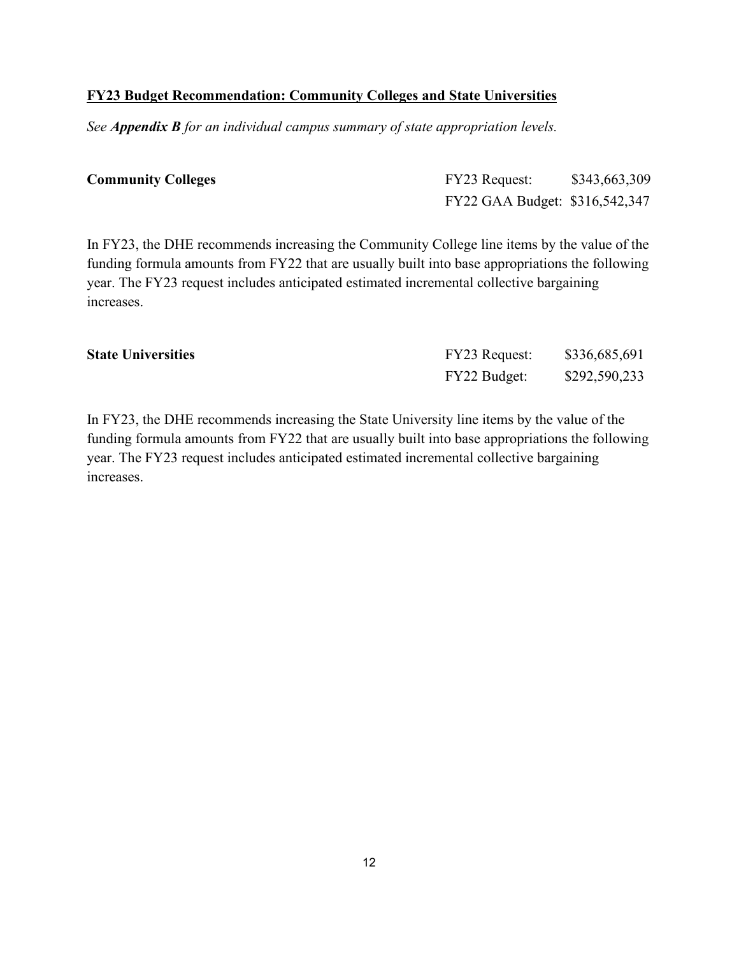#### **FY23 Budget Recommendation: Community Colleges and State Universities**

*See Appendix B for an individual campus summary of state appropriation levels.*

| <b>Community Colleges</b> | FY23 Request:                  | \$343,663,309 |
|---------------------------|--------------------------------|---------------|
|                           | FY22 GAA Budget: \$316,542,347 |               |

In FY23, the DHE recommends increasing the Community College line items by the value of the funding formula amounts from FY22 that are usually built into base appropriations the following year. The FY23 request includes anticipated estimated incremental collective bargaining increases.

| <b>State Universities</b> | <b>FY23 Request:</b> | \$336,685,691 |
|---------------------------|----------------------|---------------|
|                           | FY22 Budget:         | \$292,590,233 |

In FY23, the DHE recommends increasing the State University line items by the value of the funding formula amounts from FY22 that are usually built into base appropriations the following year. The FY23 request includes anticipated estimated incremental collective bargaining increases.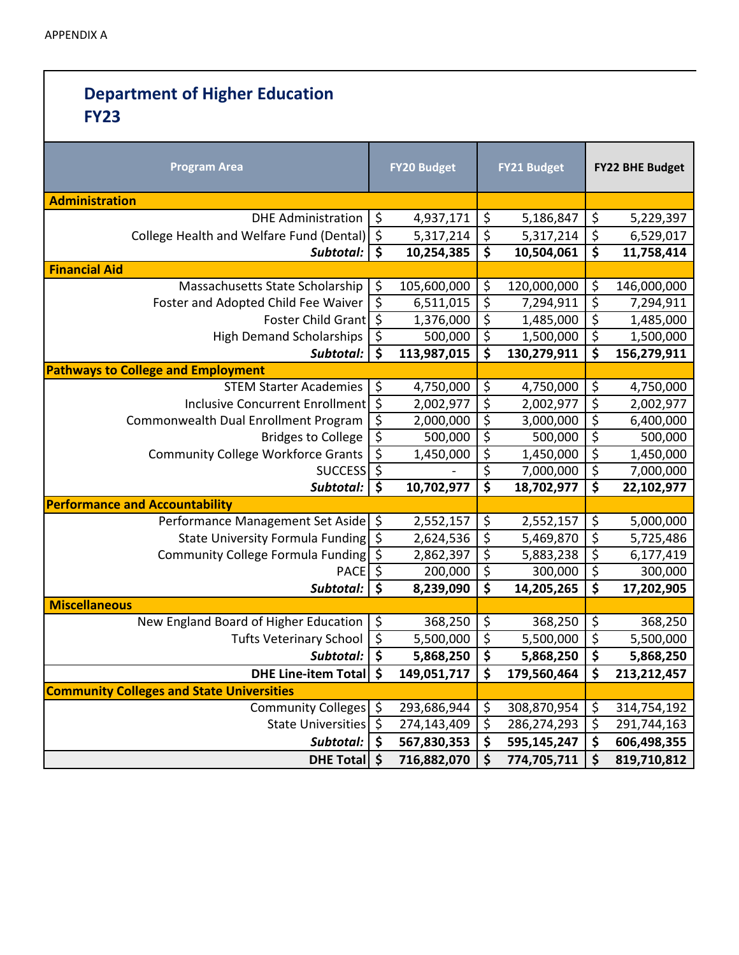### **Department of Higher Education FY23 Program Area FY20**

| <b>Program Area</b>                              |                                 | <b>FY20 Budget</b> |                                     | <b>FY21 Budget</b>                             |                                 | <b>FY22 BHE Budget</b> |  |  |
|--------------------------------------------------|---------------------------------|--------------------|-------------------------------------|------------------------------------------------|---------------------------------|------------------------|--|--|
| <b>Administration</b>                            |                                 |                    |                                     |                                                |                                 |                        |  |  |
| <b>DHE Administration</b>                        | $\zeta$                         | 4,937,171          | $\zeta$                             | 5,186,847                                      | \$                              | 5,229,397              |  |  |
| College Health and Welfare Fund (Dental) \$      |                                 | 5,317,214          | $\overline{\mathcal{S}}$            | 5,317,214                                      | \$                              | 6,529,017              |  |  |
| Subtotal:                                        | \$                              | 10,254,385         | $\overline{\mathsf{s}}$             | 10,504,061                                     | $\overline{\boldsymbol{\zeta}}$ | 11,758,414             |  |  |
| <b>Financial Aid</b>                             |                                 |                    |                                     |                                                |                                 |                        |  |  |
| Massachusetts State Scholarship                  | \$                              | 105,600,000        | \$                                  | 120,000,000                                    | \$                              | 146,000,000            |  |  |
| Foster and Adopted Child Fee Waiver              | $\overline{\xi}$                | 6,511,015          | \$                                  | 7,294,911                                      | \$                              | 7,294,911              |  |  |
| Foster Child Grant \$                            |                                 | 1,376,000          | $\overline{\xi}$                    | 1,485,000                                      | \$<br>$\overline{\xi}$          | 1,485,000              |  |  |
| <b>High Demand Scholarships</b>                  | \$                              | 500,000            |                                     | $\overline{\varsigma}$<br>1,500,000            |                                 | 1,500,000              |  |  |
| Subtotal:                                        | \$                              | 113,987,015        |                                     | $\overline{\boldsymbol{\zeta}}$<br>130,279,911 |                                 | 156,279,911            |  |  |
| <b>Pathways to College and Employment</b>        |                                 |                    |                                     |                                                |                                 |                        |  |  |
| <b>STEM Starter Academies</b>                    | \$                              | 4,750,000          | \$                                  | 4,750,000                                      | \$                              | 4,750,000              |  |  |
| Inclusive Concurrent Enrollment \$               |                                 | 2,002,977          | \$                                  | 2,002,977                                      | $\overline{\xi}$                | 2,002,977              |  |  |
| Commonwealth Dual Enrollment Program             | $\overline{\mathcal{S}}$        | 2,000,000          | $\overline{\xi}$                    | 3,000,000                                      | \$                              | 6,400,000              |  |  |
| <b>Bridges to College</b>                        | $\overline{\xi}$                | 500,000            | \$                                  | 500,000                                        | \$                              | 500,000                |  |  |
| <b>Community College Workforce Grants</b>        | $\overline{\xi}$                | 1,450,000          | $\overline{\xi}$                    | 1,450,000                                      | \$                              | 1,450,000              |  |  |
| SUCCESS                                          |                                 |                    | $\overline{\xi}$                    | 7,000,000                                      | \$                              | 7,000,000              |  |  |
| Subtotal:                                        | $\overline{\boldsymbol{s}}$     | 10,702,977         | $\overline{\boldsymbol{\zeta}}$     | 18,702,977                                     | $\overline{\boldsymbol{\zeta}}$ | 22,102,977             |  |  |
| <b>Performance and Accountability</b>            |                                 |                    |                                     |                                                |                                 |                        |  |  |
| Performance Management Set Aside \$              |                                 | 2,552,157          | \$                                  | 2,552,157                                      | \$                              | 5,000,000              |  |  |
| State University Formula Funding \$              |                                 | 2,624,536          | $\overline{\mathcal{S}}$            | 5,469,870                                      | $\overline{\varsigma}$          | 5,725,486              |  |  |
| Community College Formula Funding                | $\zeta$                         | 2,862,397          | $\overline{\mathcal{S}}$            | 5,883,238                                      | \$                              | 6,177,419              |  |  |
| <b>PACE</b>                                      | $\overline{\varsigma}$          | 200,000            | $\overline{\xi}$                    | 300,000                                        | \$                              | 300,000                |  |  |
| Subtotal:                                        | $\overline{\boldsymbol{\zeta}}$ | 8,239,090          | $\overline{\boldsymbol{\varsigma}}$ | 14,205,265                                     | \$                              | 17,202,905             |  |  |
| <b>Miscellaneous</b>                             |                                 |                    |                                     |                                                |                                 |                        |  |  |
| New England Board of Higher Education            | \$                              | 368,250            | \$                                  | 368,250                                        | \$                              | 368,250                |  |  |
| <b>Tufts Veterinary School</b>                   | $\overline{\xi}$                | 5,500,000          | $\overline{\xi}$                    | 5,500,000                                      | $\overline{\xi}$                | 5,500,000              |  |  |
| Subtotal:                                        | $\overline{\boldsymbol{\zeta}}$ | 5,868,250          | \$                                  | 5,868,250                                      | \$                              | 5,868,250              |  |  |
| <b>DHE Line-item Total</b>                       | \$                              | 149,051,717        | \$                                  | 179,560,464                                    | \$                              | 213, 212, 457          |  |  |
| <b>Community Colleges and State Universities</b> |                                 |                    |                                     |                                                |                                 |                        |  |  |
| <b>Community Colleges</b>                        | \$                              | 293,686,944        | \$                                  | 308,870,954                                    | \$                              | 314,754,192            |  |  |
| <b>State Universities</b>                        | $\overline{\mathcal{S}}$        | 274,143,409        | \$                                  | 286,274,293                                    | \$                              | 291,744,163            |  |  |
| Subtotal:                                        | \$                              | 567,830,353        | \$                                  | 595,145,247                                    | \$                              | 606,498,355            |  |  |
| <b>DHE Total</b>                                 | \$                              | 716,882,070        | \$                                  | 774,705,711                                    | \$                              | 819,710,812            |  |  |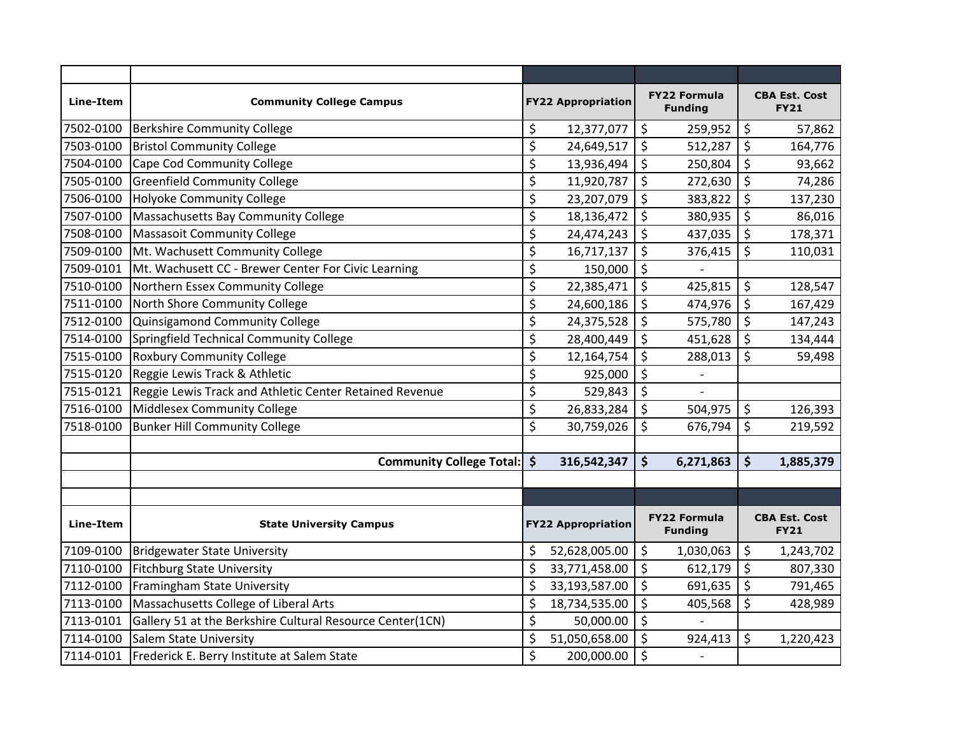| Line-Item | <b>Community College Campus</b>                           |                                 | <b>FY22 Appropriation</b> |                  | <b>FY22 Formula</b><br><b>Funding</b> |                        | <b>CBA Est. Cost</b><br><b>FY21</b> |
|-----------|-----------------------------------------------------------|---------------------------------|---------------------------|------------------|---------------------------------------|------------------------|-------------------------------------|
| 7502-0100 | <b>Berkshire Community College</b>                        | \$                              | 12,377,077                | \$               | 259,952                               | \$                     | 57,862                              |
| 7503-0100 | <b>Bristol Community College</b>                          | \$                              | 24,649,517                | \$               | 512,287                               | \$                     | 164,776                             |
| 7504-0100 | Cape Cod Community College                                | \$                              | 13,936,494                | \$               | 250,804                               | $\zeta$                | 93,662                              |
| 7505-0100 | <b>Greenfield Community College</b>                       | \$                              | 11,920,787                | \$               | 272,630                               | $\zeta$                | 74,286                              |
| 7506-0100 | <b>Holyoke Community College</b>                          | \$                              | 23,207,079                | $\overline{\xi}$ | 383,822                               | $\overline{\varsigma}$ | 137,230                             |
| 7507-0100 | Massachusetts Bay Community College                       | \$                              | 18,136,472                | \$               | 380,935                               | $\zeta$                | 86,016                              |
| 7508-0100 | <b>Massasoit Community College</b>                        | \$                              | 24,474,243                | \$               | 437,035                               | $\boldsymbol{\zeta}$   | 178,371                             |
| 7509-0100 | Mt. Wachusett Community College                           | \$                              | 16,717,137                | \$               | 376,415                               | $\zeta$                | 110,031                             |
| 7509-0101 | Mt. Wachusett CC - Brewer Center For Civic Learning       | \$                              | 150,000                   | \$               |                                       |                        |                                     |
| 7510-0100 | Northern Essex Community College                          | \$                              | 22,385,471                | $\zeta$          | 425,815                               | \$                     | 128,547                             |
| 7511-0100 | North Shore Community College                             | \$                              | 24,600,186                | \$               | 474,976                               | \$                     | 167,429                             |
| 7512-0100 | Quinsigamond Community College                            | $\overline{\boldsymbol{\zeta}}$ | 24,375,528                | $\overline{\xi}$ | 575,780                               | $\overline{\xi}$       | 147,243                             |
| 7514-0100 | Springfield Technical Community College                   | \$                              | 28,400,449                | \$               | 451,628                               | \$                     | 134,444                             |
| 7515-0100 | <b>Roxbury Community College</b>                          | \$                              | 12,164,754                | \$               | 288,013                               | \$                     | 59,498                              |
| 7515-0120 | Reggie Lewis Track & Athletic                             | \$                              | 925,000                   | $\overline{\xi}$ |                                       |                        |                                     |
| 7515-0121 | Reggie Lewis Track and Athletic Center Retained Revenue   | \$                              | 529,843                   | \$               |                                       |                        |                                     |
| 7516-0100 | Middlesex Community College                               | \$                              | 26,833,284                | \$               | 504,975                               | \$                     | 126,393                             |
| 7518-0100 | <b>Bunker Hill Community College</b>                      | \$                              | 30,759,026                | \$               | 676,794                               | $\zeta$                | 219,592                             |
|           |                                                           |                                 |                           |                  |                                       |                        |                                     |
|           | <b>Community College Total:</b>                           | $\mathsf{\hat{S}}$              | 316,542,347               | \$               | 6,271,863                             | \$                     | 1,885,379                           |
|           |                                                           |                                 |                           |                  |                                       |                        |                                     |
|           |                                                           |                                 |                           |                  |                                       |                        |                                     |
| Line-Item | <b>State University Campus</b>                            |                                 | <b>FY22 Appropriation</b> |                  | <b>FY22 Formula</b><br><b>Funding</b> |                        | <b>CBA Est. Cost</b><br><b>FY21</b> |
| 7109-0100 | <b>Bridgewater State University</b>                       | \$                              | 52,628,005.00             | \$               | 1,030,063                             | $\zeta$                | 1,243,702                           |
| 7110-0100 | <b>Fitchburg State University</b>                         | \$                              | 33,771,458.00             | \$               | 612,179                               | $\zeta$                | 807,330                             |
| 7112-0100 | Framingham State University                               | \$                              | 33,193,587.00             | $\zeta$          | 691,635                               | \$                     | 791,465                             |
| 7113-0100 | Massachusetts College of Liberal Arts                     | \$                              | 18,734,535.00             | $\overline{\xi}$ | 405,568                               | $\overline{\varsigma}$ | 428,989                             |
| 7113-0101 | Gallery 51 at the Berkshire Cultural Resource Center(1CN) | \$                              | 50,000.00                 | \$               |                                       |                        |                                     |
| 7114-0100 | Salem State University                                    | \$                              | 51,050,658.00             | \$               | 924,413                               | \$                     | 1,220,423                           |
| 7114-0101 | Frederick E. Berry Institute at Salem State               | \$                              | 200,000.00                | \$               | $\overline{a}$                        |                        |                                     |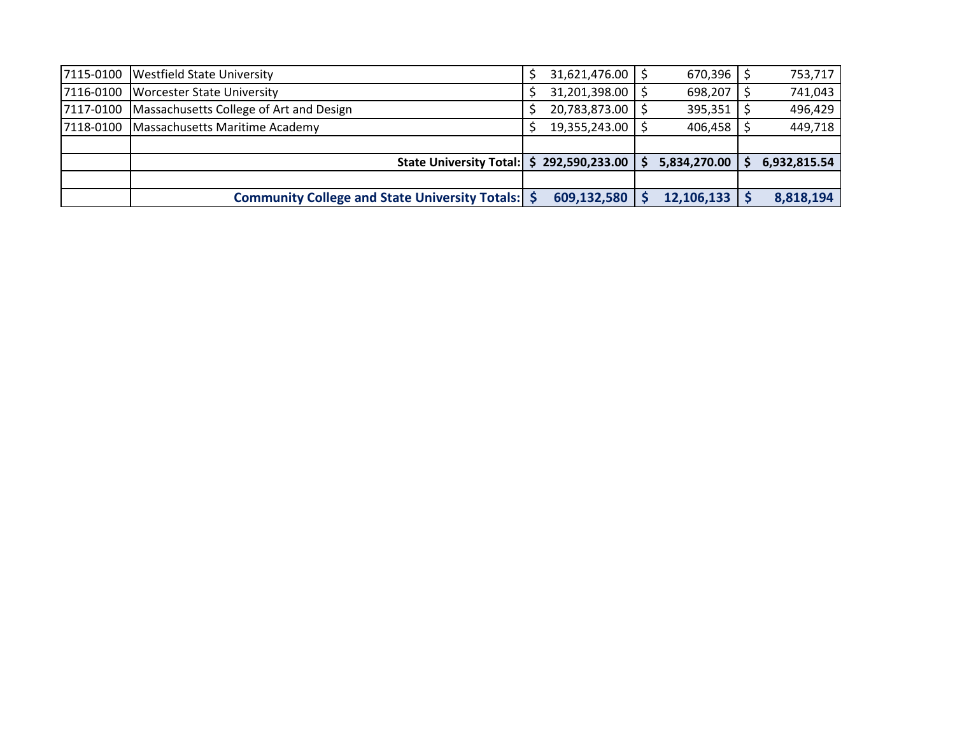| 7115-0100 | <b>Westfield State University</b>                   | 31,621,476.00     | $670,396$ \$        | 753,717      |
|-----------|-----------------------------------------------------|-------------------|---------------------|--------------|
| 7116-0100 | <b>Worcester State University</b>                   | 31,201,398.00     | 698,207             | 741,043      |
| 7117-0100 | Massachusetts College of Art and Design             | 20,783,873.00     | $395,351$   \$      | 496,429      |
| 7118-0100 | Massachusetts Maritime Academy                      | 19,355,243.00   9 | $406,458$ $\mid$ \$ | 449,718      |
|           |                                                     |                   |                     |              |
|           | <b>State University Total:</b>                      | \$292,590,233.00  | 5,834,270.00        | 6,932,815.54 |
|           |                                                     |                   |                     |              |
|           | Community College and State University Totals:   \$ | 609,132,580       | 12,106,133          | 8,818,194    |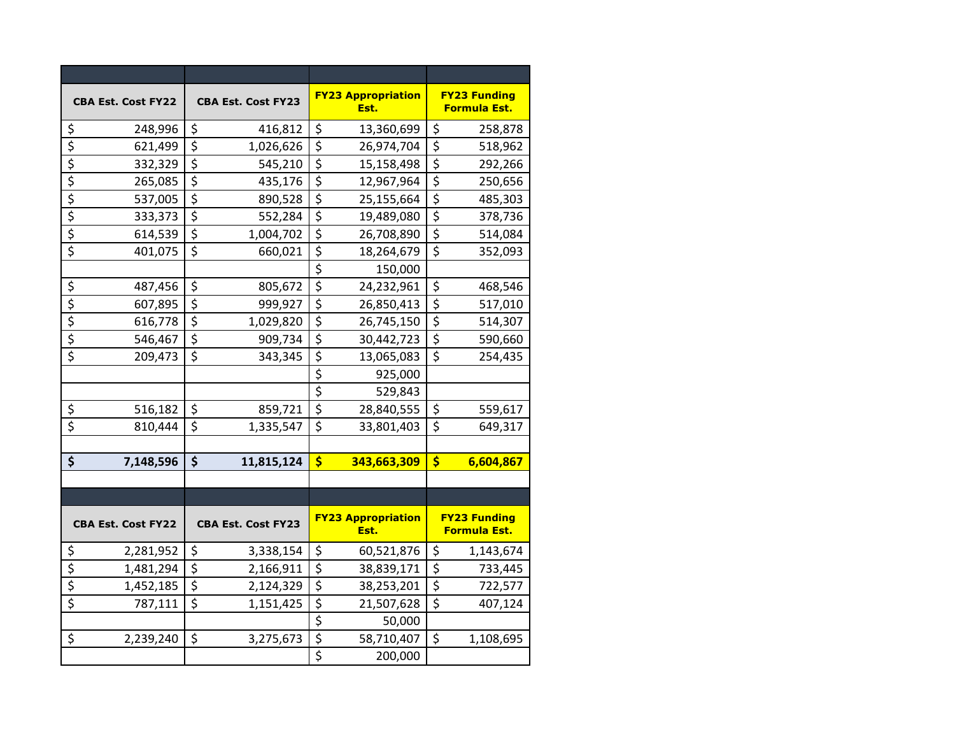| <b>CBA Est. Cost FY22</b>           | <b>CBA Est. Cost FY23</b> | <b>FY23 Appropriation</b><br>Est.          | <b>FY23 Funding</b><br>Formula Est. |
|-------------------------------------|---------------------------|--------------------------------------------|-------------------------------------|
| \$                                  | $\zeta$                   | \$                                         | $\zeta$                             |
| 248,996                             | 416,812                   | 13,360,699                                 | 258,878                             |
| \$                                  | \$                        | \$                                         | \$                                  |
| 621,499                             | 1,026,626                 | 26,974,704                                 | 518,962                             |
| $\overline{\xi}$                    | \$                        | \$                                         | $\overline{\xi}$                    |
| 332,329                             | 545,210                   | 15,158,498                                 | 292,266                             |
| $\overline{\boldsymbol{\xi}}$       | \$                        | \$                                         | \$                                  |
| 265,085                             | 435,176                   | 12,967,964                                 | 250,656                             |
| \$                                  | $\overline{\xi}$          | $\overline{\xi}$                           | $\overline{\xi}$                    |
| 537,005                             | 890,528                   | 25,155,664                                 | 485,303                             |
| $\overline{\xi}$                    | $\overline{\mathcal{S}}$  | \$                                         | $\overline{\xi}$                    |
| 333,373                             | 552,284                   | 19,489,080                                 | 378,736                             |
| \$                                  | \$                        | \$                                         | \$                                  |
| 614,539                             | 1,004,702                 | 26,708,890                                 | 514,084                             |
| \$                                  | \$                        | $\overline{\boldsymbol{\zeta}}$            | \$                                  |
| 401,075                             | 660,021                   | 18,264,679                                 | 352,093                             |
|                                     |                           | $\overline{\boldsymbol{\zeta}}$<br>150,000 |                                     |
| \$                                  | \$                        | \$                                         | \$                                  |
| 487,456                             | 805,672                   | 24,232,961                                 | 468,546                             |
| $\overline{\boldsymbol{\varsigma}}$ | $\overline{\xi}$          | \$                                         | $\overline{\xi}$                    |
| 607,895                             | 999,927                   | 26,850,413                                 | 517,010                             |
| $\overline{\xi}$                    | $\overline{\mathcal{S}}$  | $\overline{\mathsf{S}}$                    | $\overline{\xi}$                    |
| 616,778                             | 1,029,820                 | 26,745,150                                 | 514,307                             |
| $\overline{\xi}$                    | \$                        | \$                                         | \$                                  |
| 546,467                             | 909,734                   | 30,442,723                                 | 590,660                             |
| $\overline{\xi}$                    | \$                        | \$                                         | $\overline{\xi}$                    |
| 209,473                             | 343,345                   | 13,065,083                                 | 254,435                             |
|                                     |                           | $\overline{\xi}$<br>925,000                |                                     |
|                                     |                           | $\overline{\xi}$<br>529,843                |                                     |
| \$                                  | \$                        | \$                                         | \$                                  |
| 516,182                             | 859,721                   | 28,840,555                                 | 559,617                             |
| $\overline{\boldsymbol{\varsigma}}$ | $\zeta$                   | \$                                         | $\overline{\xi}$                    |
| 810,444                             | 1,335,547                 | 33,801,403                                 | 649,317                             |
|                                     |                           |                                            |                                     |
| \$                                  | \$                        | \$                                         | $\frac{1}{2}$                       |
| 7,148,596                           | 11,815,124                | 343,663,309                                | 6,604,867                           |
|                                     |                           |                                            |                                     |
|                                     |                           |                                            |                                     |
| <b>CBA Est. Cost FY22</b>           | <b>CBA Est. Cost FY23</b> | <b>FY23 Appropriation</b><br>Est.          | <b>FY23 Funding</b><br>Formula Est. |
| 2,281,952                           | \$                        | \$                                         | \$                                  |
| <u>\$</u>                           | 3,338,154                 | 60,521,876                                 | 1,143,674                           |
| \$                                  | \$                        | \$                                         | \$                                  |
| 1,481,294                           | 2,166,911                 | 38,839,171                                 | 733,445                             |
| $\overline{\xi}$                    | \$                        | \$                                         | \$                                  |
| 1,452,185                           | 2,124,329                 | 38,253,201                                 | 722,577                             |
| $\overline{\xi}$                    | \$                        | \$                                         | $\overline{\xi}$                    |
| 787,111                             | 1,151,425                 | 21,507,628                                 | 407,124                             |
|                                     |                           | $\overline{\xi}$<br>50,000                 |                                     |
| \$                                  | \$                        | $\overline{\boldsymbol{\zeta}}$            | \$                                  |
| 2,239,240                           | 3,275,673                 | 58,710,407                                 | 1,108,695                           |
|                                     |                           | $\overline{\mathsf{S}}$<br>200,000         |                                     |